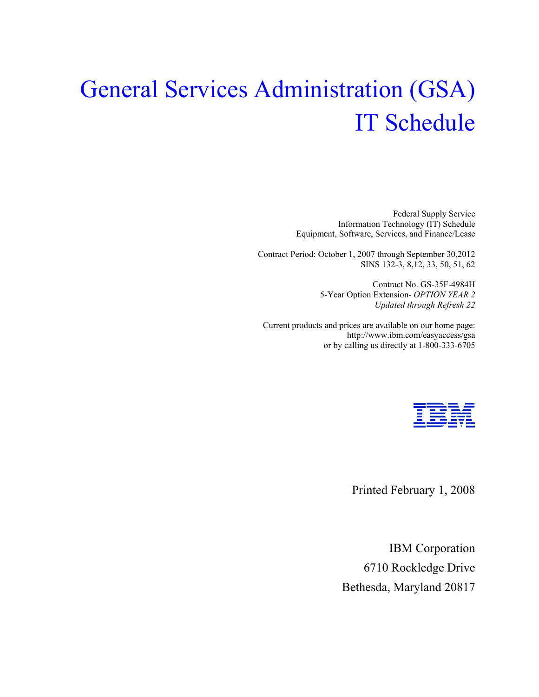# General Services Administration (GSA) IT Schedule

Federal Supply Service Information Technology (IT) Schedule Equipment, Software, Services, and Finance/Lease

Contract Period: October 1, 2007 through September 30,2012 SINS 132-3, 8,12, 33, 50, 51, 62

> Contract No. GS-35F-4984H 5-Year Option Extension- *OPTION YEAR 2 Updated through Refresh 22*

Current products and prices are available on our home page: http://www.ibm.com/easyaccess/gsa or by calling us directly at 1-800-333-6705



Printed February 1, 2008

IBM Corporation 6710 Rockledge Drive Bethesda, Maryland 20817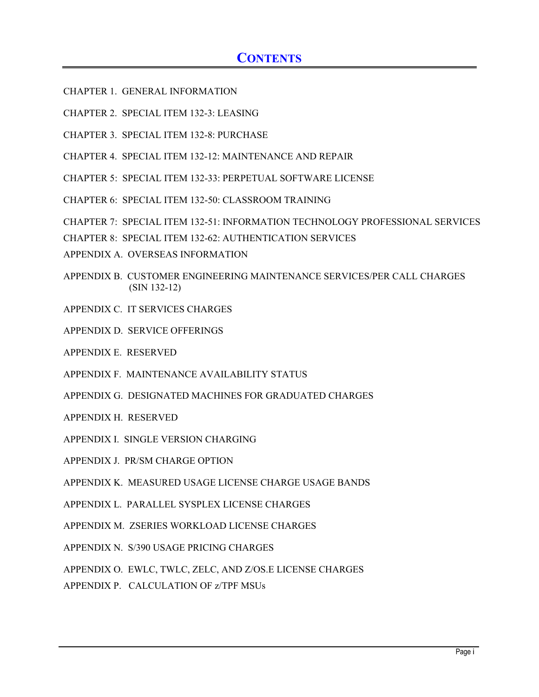## **CONTENTS**

- CHAPTER 1. GENERAL INFORMATION
- CHAPTER 2. SPECIAL ITEM 132-3: LEASING
- CHAPTER 3. SPECIAL ITEM 132-8: PURCHASE
- CHAPTER 4. SPECIAL ITEM 132-12: MAINTENANCE AND REPAIR
- CHAPTER 5: SPECIAL ITEM 132-33: PERPETUAL SOFTWARE LICENSE
- CHAPTER 6: SPECIAL ITEM 132-50: CLASSROOM TRAINING
- CHAPTER 7: SPECIAL ITEM 132-51: INFORMATION TECHNOLOGY PROFESSIONAL SERVICES
- CHAPTER 8: SPECIAL ITEM 132-62: AUTHENTICATION SERVICES
- APPENDIX A. OVERSEAS INFORMATION
- APPENDIX B. CUSTOMER ENGINEERING MAINTENANCE SERVICES/PER CALL CHARGES (SIN 132-12)
- APPENDIX C. IT SERVICES CHARGES
- APPENDIX D. SERVICE OFFERINGS
- APPENDIX E. RESERVED
- APPENDIX F. MAINTENANCE AVAILABILITY STATUS
- APPENDIX G. DESIGNATED MACHINES FOR GRADUATED CHARGES
- APPENDIX H. RESERVED
- APPENDIX I. SINGLE VERSION CHARGING
- APPENDIX J. PR/SM CHARGE OPTION
- APPENDIX K. MEASURED USAGE LICENSE CHARGE USAGE BANDS
- APPENDIX L. PARALLEL SYSPLEX LICENSE CHARGES
- APPENDIX M. ZSERIES WORKLOAD LICENSE CHARGES
- APPENDIX N. S/390 USAGE PRICING CHARGES
- APPENDIX O. EWLC, TWLC, ZELC, AND Z/OS.E LICENSE CHARGES
- APPENDIX P. CALCULATION OF z/TPF MSUs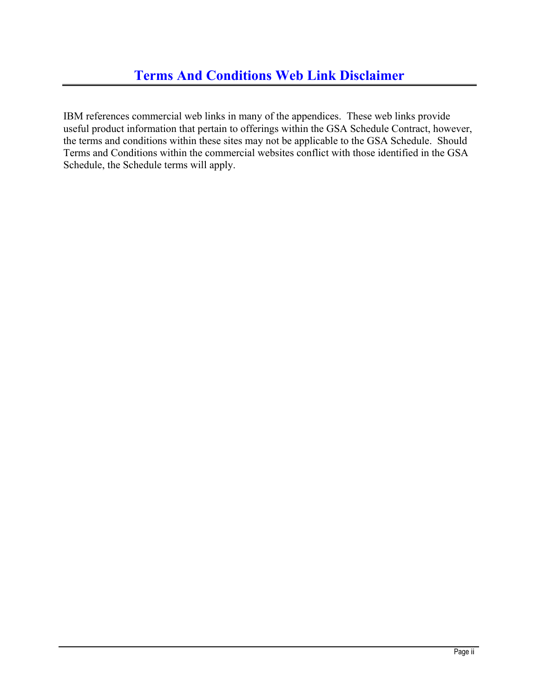IBM references commercial web links in many of the appendices. These web links provide useful product information that pertain to offerings within the GSA Schedule Contract, however, the terms and conditions within these sites may not be applicable to the GSA Schedule. Should Terms and Conditions within the commercial websites conflict with those identified in the GSA Schedule, the Schedule terms will apply.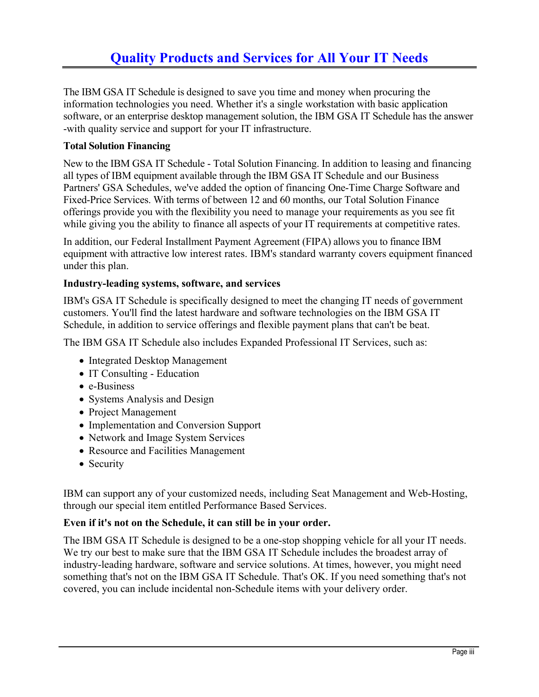## **Quality Products and Services for All Your IT Needs**

The IBM GSA IT Schedule is designed to save you time and money when procuring the information technologies you need. Whether it's a single workstation with basic application software, or an enterprise desktop management solution, the IBM GSA IT Schedule has the answer -with quality service and support for your IT infrastructure.

#### **Total Solution Financing**

New to the IBM GSA IT Schedule - Total Solution Financing. In addition to leasing and financing all types of IBM equipment available through the IBM GSA IT Schedule and our Business Partners' GSA Schedules, we've added the option of financing One-Time Charge Software and Fixed-Price Services. With terms of between 12 and 60 months, our Total Solution Finance offerings provide you with the flexibility you need to manage your requirements as you see fit while giving you the ability to finance all aspects of your IT requirements at competitive rates.

In addition, our Federal Installment Payment Agreement (FIPA) allows you to finance IBM equipment with attractive low interest rates. IBM's standard warranty covers equipment financed under this plan.

#### **Industry-leading systems, software, and services**

IBM's GSA IT Schedule is specifically designed to meet the changing IT needs of government customers. You'll find the latest hardware and software technologies on the IBM GSA IT Schedule, in addition to service offerings and flexible payment plans that can't be beat.

The IBM GSA IT Schedule also includes Expanded Professional IT Services, such as:

- Integrated Desktop Management
- IT Consulting Education
- e-Business
- Systems Analysis and Design
- Project Management
- Implementation and Conversion Support
- Network and Image System Services
- Resource and Facilities Management
- Security

IBM can support any of your customized needs, including Seat Management and Web-Hosting, through our special item entitled Performance Based Services.

#### **Even if it's not on the Schedule, it can still be in your order.**

The IBM GSA IT Schedule is designed to be a one-stop shopping vehicle for all your IT needs. We try our best to make sure that the IBM GSA IT Schedule includes the broadest array of industry-leading hardware, software and service solutions. At times, however, you might need something that's not on the IBM GSA IT Schedule. That's OK. If you need something that's not covered, you can include incidental non-Schedule items with your delivery order.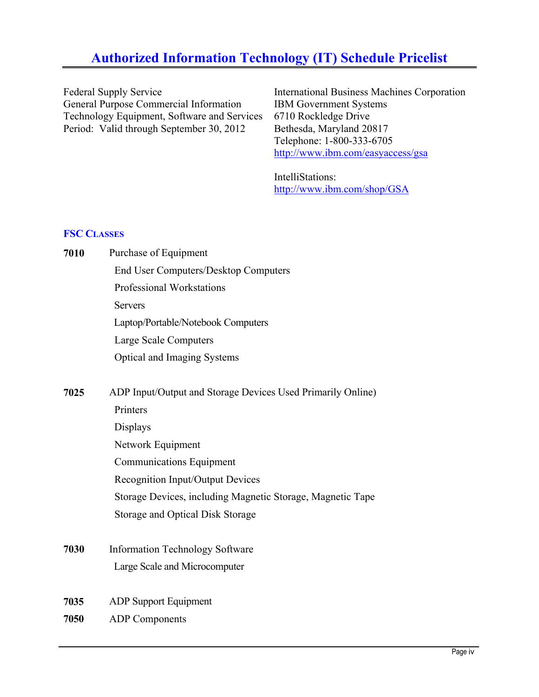## **Authorized Information Technology (IT) Schedule Pricelist**

Federal Supply Service General Purpose Commercial Information Technology Equipment, Software and Services Period: Valid through September 30, 2012

International Business Machines Corporation IBM Government Systems 6710 Rockledge Drive Bethesda, Maryland 20817 Telephone: 1-800-333-6705 http://www.ibm.com/easyaccess/gsa

IntelliStations: http://www.ibm.com/shop/GSA

## **FSC CLASSES**

| 7010 | Purchase of Equipment                                       |
|------|-------------------------------------------------------------|
|      | <b>End User Computers/Desktop Computers</b>                 |
|      | <b>Professional Workstations</b>                            |
|      | <b>Servers</b>                                              |
|      | Laptop/Portable/Notebook Computers                          |
|      | Large Scale Computers                                       |
|      | Optical and Imaging Systems                                 |
| 7025 | ADP Input/Output and Storage Devices Used Primarily Online) |
|      | Printers                                                    |
|      | <b>Displays</b>                                             |
|      | Network Equipment                                           |
|      | <b>Communications Equipment</b>                             |
|      | Recognition Input/Output Devices                            |
|      | Storage Devices, including Magnetic Storage, Magnetic Tape  |
|      | <b>Storage and Optical Disk Storage</b>                     |
| 7030 | <b>Information Technology Software</b>                      |
|      | Large Scale and Microcomputer                               |
| 7035 | <b>ADP Support Equipment</b>                                |

**7050** ADP Components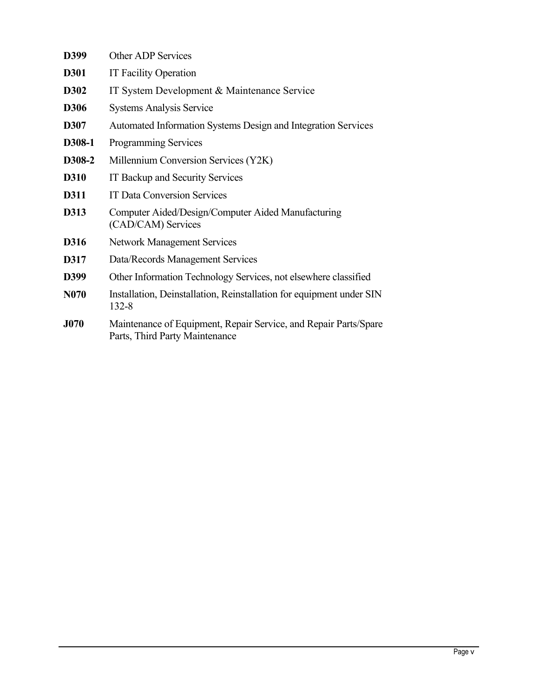| D399             | Other ADP Services                                                                                 |
|------------------|----------------------------------------------------------------------------------------------------|
| <b>D301</b>      | <b>IT Facility Operation</b>                                                                       |
| D302             | IT System Development & Maintenance Service                                                        |
| <b>D306</b>      | <b>Systems Analysis Service</b>                                                                    |
| D307             | Automated Information Systems Design and Integration Services                                      |
| D308-1           | Programming Services                                                                               |
| D308-2           | Millennium Conversion Services (Y2K)                                                               |
| D310             | IT Backup and Security Services                                                                    |
| D311             | <b>IT Data Conversion Services</b>                                                                 |
| D313             | Computer Aided/Design/Computer Aided Manufacturing<br>(CAD/CAM) Services                           |
| D316             | <b>Network Management Services</b>                                                                 |
| D317             | Data/Records Management Services                                                                   |
| D399             | Other Information Technology Services, not elsewhere classified                                    |
| N <sub>070</sub> | Installation, Deinstallation, Reinstallation for equipment under SIN<br>132-8                      |
| <b>J070</b>      | Maintenance of Equipment, Repair Service, and Repair Parts/Spare<br>Parts, Third Party Maintenance |